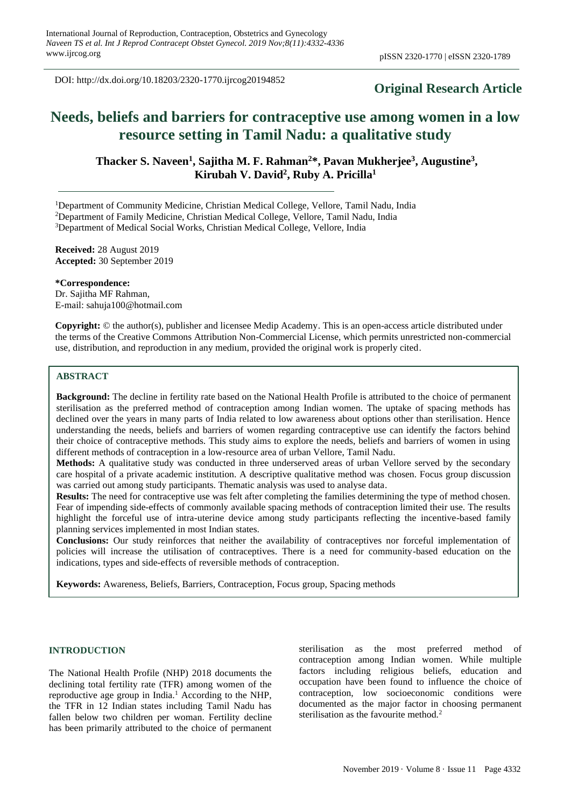DOI: http://dx.doi.org/10.18203/2320-1770.ijrcog20194852

# **Original Research Article**

# **Needs, beliefs and barriers for contraceptive use among women in a low resource setting in Tamil Nadu: a qualitative study**

**Thacker S. Naveen<sup>1</sup> , Sajitha M. F. Rahman<sup>2</sup>\*, Pavan Mukherjee<sup>3</sup> , Augustine<sup>3</sup> , Kirubah V. David<sup>2</sup> , Ruby A. Pricilla<sup>1</sup>**

<sup>1</sup>Department of Community Medicine, Christian Medical College, Vellore, Tamil Nadu, India <sup>2</sup>Department of Family Medicine, Christian Medical College, Vellore, Tamil Nadu, India <sup>3</sup>Department of Medical Social Works, Christian Medical College, Vellore, India

**Received:** 28 August 2019 **Accepted:** 30 September 2019

**\*Correspondence:** Dr. Sajitha MF Rahman, E-mail: sahuja100@hotmail.com

**Copyright:** © the author(s), publisher and licensee Medip Academy. This is an open-access article distributed under the terms of the Creative Commons Attribution Non-Commercial License, which permits unrestricted non-commercial use, distribution, and reproduction in any medium, provided the original work is properly cited.

## **ABSTRACT**

**Background:** The decline in fertility rate based on the National Health Profile is attributed to the choice of permanent sterilisation as the preferred method of contraception among Indian women. The uptake of spacing methods has declined over the years in many parts of India related to low awareness about options other than sterilisation. Hence understanding the needs, beliefs and barriers of women regarding contraceptive use can identify the factors behind their choice of contraceptive methods. This study aims to explore the needs, beliefs and barriers of women in using different methods of contraception in a low-resource area of urban Vellore, Tamil Nadu.

**Methods:** A qualitative study was conducted in three underserved areas of urban Vellore served by the secondary care hospital of a private academic institution. A descriptive qualitative method was chosen. Focus group discussion was carried out among study participants. Thematic analysis was used to analyse data.

**Results:** The need for contraceptive use was felt after completing the families determining the type of method chosen. Fear of impending side-effects of commonly available spacing methods of contraception limited their use. The results highlight the forceful use of intra-uterine device among study participants reflecting the incentive-based family planning services implemented in most Indian states.

**Conclusions:** Our study reinforces that neither the availability of contraceptives nor forceful implementation of policies will increase the utilisation of contraceptives. There is a need for community-based education on the indications, types and side-effects of reversible methods of contraception.

**Keywords:** Awareness, Beliefs, Barriers, Contraception, Focus group, Spacing methods

#### **INTRODUCTION**

The National Health Profile (NHP) 2018 documents the declining total fertility rate (TFR) among women of the reproductive age group in India.<sup>1</sup> According to the NHP, the TFR in 12 Indian states including Tamil Nadu has fallen below two children per woman. Fertility decline has been primarily attributed to the choice of permanent sterilisation as the most preferred method of contraception among Indian women. While multiple factors including religious beliefs, education and occupation have been found to influence the choice of contraception, low socioeconomic conditions were documented as the major factor in choosing permanent sterilisation as the favourite method.<sup>2</sup>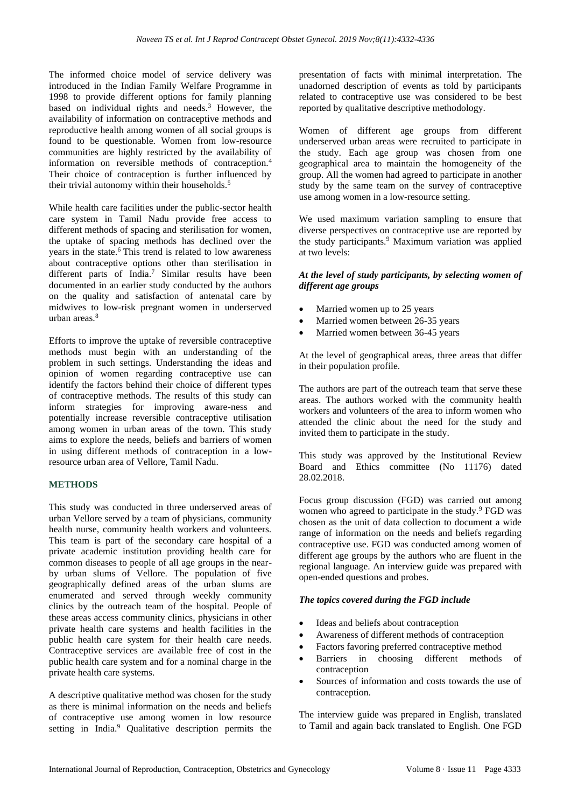The informed choice model of service delivery was introduced in the Indian Family Welfare Programme in 1998 to provide different options for family planning based on individual rights and needs.<sup>3</sup> However, the availability of information on contraceptive methods and reproductive health among women of all social groups is found to be questionable. Women from low-resource communities are highly restricted by the availability of information on reversible methods of contraception.<sup>4</sup> Their choice of contraception is further influenced by their trivial autonomy within their households.<sup>5</sup>

While health care facilities under the public-sector health care system in Tamil Nadu provide free access to different methods of spacing and sterilisation for women, the uptake of spacing methods has declined over the years in the state.<sup>6</sup> This trend is related to low awareness about contraceptive options other than sterilisation in different parts of India.<sup>7</sup> Similar results have been documented in an earlier study conducted by the authors on the quality and satisfaction of antenatal care by midwives to low-risk pregnant women in underserved urban areas. $8$ 

Efforts to improve the uptake of reversible contraceptive methods must begin with an understanding of the problem in such settings. Understanding the ideas and opinion of women regarding contraceptive use can identify the factors behind their choice of different types of contraceptive methods. The results of this study can inform strategies for improving aware-ness and potentially increase reversible contraceptive utilisation among women in urban areas of the town. This study aims to explore the needs, beliefs and barriers of women in using different methods of contraception in a lowresource urban area of Vellore, Tamil Nadu.

#### **METHODS**

This study was conducted in three underserved areas of urban Vellore served by a team of physicians, community health nurse, community health workers and volunteers. This team is part of the secondary care hospital of a private academic institution providing health care for common diseases to people of all age groups in the nearby urban slums of Vellore. The population of five geographically defined areas of the urban slums are enumerated and served through weekly community clinics by the outreach team of the hospital. People of these areas access community clinics, physicians in other private health care systems and health facilities in the public health care system for their health care needs. Contraceptive services are available free of cost in the public health care system and for a nominal charge in the private health care systems.

A descriptive qualitative method was chosen for the study as there is minimal information on the needs and beliefs of contraceptive use among women in low resource setting in India.<sup>9</sup> Qualitative description permits the presentation of facts with minimal interpretation. The unadorned description of events as told by participants related to contraceptive use was considered to be best reported by qualitative descriptive methodology.

Women of different age groups from different underserved urban areas were recruited to participate in the study. Each age group was chosen from one geographical area to maintain the homogeneity of the group. All the women had agreed to participate in another study by the same team on the survey of contraceptive use among women in a low-resource setting.

We used maximum variation sampling to ensure that diverse perspectives on contraceptive use are reported by the study participants.<sup>9</sup> Maximum variation was applied at two levels:

#### *At the level of study participants, by selecting women of different age groups*

- Married women up to 25 years
- Married women between 26-35 years
- Married women between 36-45 years

At the level of geographical areas, three areas that differ in their population profile.

The authors are part of the outreach team that serve these areas. The authors worked with the community health workers and volunteers of the area to inform women who attended the clinic about the need for the study and invited them to participate in the study.

This study was approved by the Institutional Review Board and Ethics committee (No 11176) dated 28.02.2018.

Focus group discussion (FGD) was carried out among women who agreed to participate in the study.<sup>9</sup> FGD was chosen as the unit of data collection to document a wide range of information on the needs and beliefs regarding contraceptive use. FGD was conducted among women of different age groups by the authors who are fluent in the regional language. An interview guide was prepared with open-ended questions and probes.

#### *The topics covered during the FGD include*

- Ideas and beliefs about contraception
- Awareness of different methods of contraception
- Factors favoring preferred contraceptive method
- Barriers in choosing different methods of contraception
- Sources of information and costs towards the use of contraception.

The interview guide was prepared in English, translated to Tamil and again back translated to English. One FGD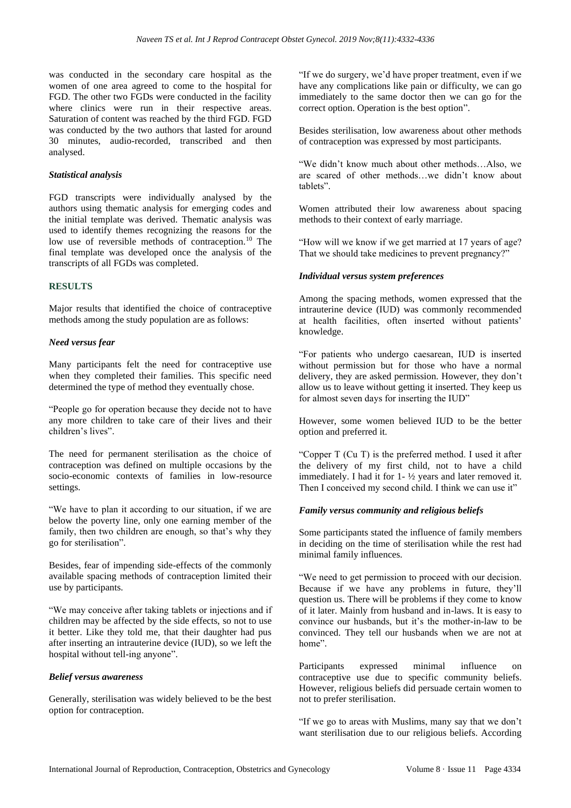was conducted in the secondary care hospital as the women of one area agreed to come to the hospital for FGD. The other two FGDs were conducted in the facility where clinics were run in their respective areas. Saturation of content was reached by the third FGD. FGD was conducted by the two authors that lasted for around 30 minutes, audio-recorded, transcribed and then analysed.

#### *Statistical analysis*

FGD transcripts were individually analysed by the authors using thematic analysis for emerging codes and the initial template was derived. Thematic analysis was used to identify themes recognizing the reasons for the low use of reversible methods of contraception.<sup>10</sup> The final template was developed once the analysis of the transcripts of all FGDs was completed.

#### **RESULTS**

Major results that identified the choice of contraceptive methods among the study population are as follows:

#### *Need versus fear*

Many participants felt the need for contraceptive use when they completed their families. This specific need determined the type of method they eventually chose.

"People go for operation because they decide not to have any more children to take care of their lives and their children's lives".

The need for permanent sterilisation as the choice of contraception was defined on multiple occasions by the socio-economic contexts of families in low-resource settings.

"We have to plan it according to our situation, if we are below the poverty line, only one earning member of the family, then two children are enough, so that's why they go for sterilisation".

Besides, fear of impending side-effects of the commonly available spacing methods of contraception limited their use by participants.

"We may conceive after taking tablets or injections and if children may be affected by the side effects, so not to use it better. Like they told me, that their daughter had pus after inserting an intrauterine device (IUD), so we left the hospital without tell-ing anyone".

#### *Belief versus awareness*

Generally, sterilisation was widely believed to be the best option for contraception.

"If we do surgery, we'd have proper treatment, even if we have any complications like pain or difficulty, we can go immediately to the same doctor then we can go for the correct option. Operation is the best option".

Besides sterilisation, low awareness about other methods of contraception was expressed by most participants.

"We didn't know much about other methods…Also, we are scared of other methods…we didn't know about tablets".

Women attributed their low awareness about spacing methods to their context of early marriage.

"How will we know if we get married at 17 years of age? That we should take medicines to prevent pregnancy?"

#### *Individual versus system preferences*

Among the spacing methods, women expressed that the intrauterine device (IUD) was commonly recommended at health facilities, often inserted without patients' knowledge.

"For patients who undergo caesarean, IUD is inserted without permission but for those who have a normal delivery, they are asked permission. However, they don't allow us to leave without getting it inserted. They keep us for almost seven days for inserting the IUD"

However, some women believed IUD to be the better option and preferred it.

"Copper T (Cu T) is the preferred method. I used it after the delivery of my first child, not to have a child immediately. I had it for 1- ½ years and later removed it. Then I conceived my second child. I think we can use it"

#### *Family versus community and religious beliefs*

Some participants stated the influence of family members in deciding on the time of sterilisation while the rest had minimal family influences.

"We need to get permission to proceed with our decision. Because if we have any problems in future, they'll question us. There will be problems if they come to know of it later. Mainly from husband and in-laws. It is easy to convince our husbands, but it's the mother-in-law to be convinced. They tell our husbands when we are not at home".

Participants expressed minimal influence on contraceptive use due to specific community beliefs. However, religious beliefs did persuade certain women to not to prefer sterilisation.

"If we go to areas with Muslims, many say that we don't want sterilisation due to our religious beliefs. According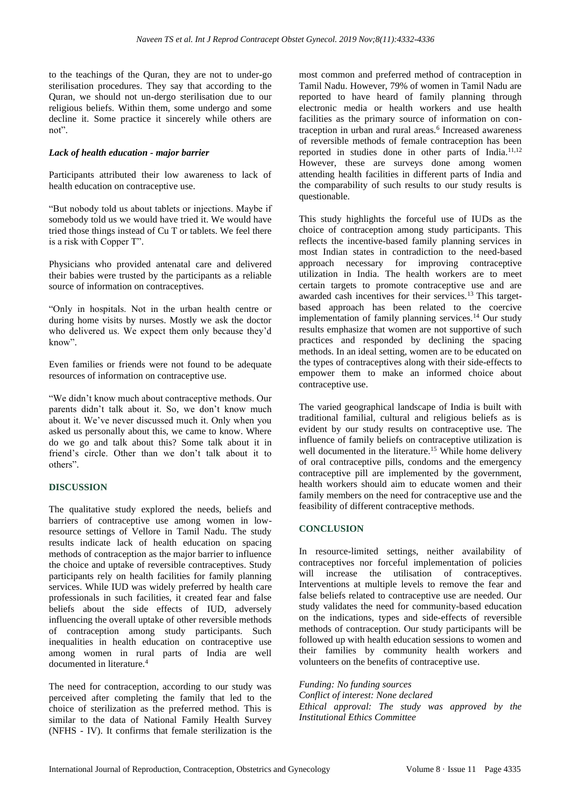to the teachings of the Quran, they are not to under-go sterilisation procedures. They say that according to the Quran, we should not un-dergo sterilisation due to our religious beliefs. Within them, some undergo and some decline it. Some practice it sincerely while others are not".

#### *Lack of health education - major barrier*

Participants attributed their low awareness to lack of health education on contraceptive use.

"But nobody told us about tablets or injections. Maybe if somebody told us we would have tried it. We would have tried those things instead of Cu T or tablets. We feel there is a risk with Copper T".

Physicians who provided antenatal care and delivered their babies were trusted by the participants as a reliable source of information on contraceptives.

"Only in hospitals. Not in the urban health centre or during home visits by nurses. Mostly we ask the doctor who delivered us. We expect them only because they'd know".

Even families or friends were not found to be adequate resources of information on contraceptive use.

"We didn't know much about contraceptive methods. Our parents didn't talk about it. So, we don't know much about it. We've never discussed much it. Only when you asked us personally about this, we came to know. Where do we go and talk about this? Some talk about it in friend's circle. Other than we don't talk about it to others".

#### **DISCUSSION**

The qualitative study explored the needs, beliefs and barriers of contraceptive use among women in lowresource settings of Vellore in Tamil Nadu. The study results indicate lack of health education on spacing methods of contraception as the major barrier to influence the choice and uptake of reversible contraceptives. Study participants rely on health facilities for family planning services. While IUD was widely preferred by health care professionals in such facilities, it created fear and false beliefs about the side effects of IUD, adversely influencing the overall uptake of other reversible methods of contraception among study participants. Such inequalities in health education on contraceptive use among women in rural parts of India are well documented in literature.<sup>4</sup>

The need for contraception, according to our study was perceived after completing the family that led to the choice of sterilization as the preferred method. This is similar to the data of National Family Health Survey (NFHS - IV). It confirms that female sterilization is the most common and preferred method of contraception in Tamil Nadu. However, 79% of women in Tamil Nadu are reported to have heard of family planning through electronic media or health workers and use health facilities as the primary source of information on contraception in urban and rural areas.<sup>6</sup> Increased awareness of reversible methods of female contraception has been reported in studies done in other parts of India.<sup>11,12</sup> However, these are surveys done among women attending health facilities in different parts of India and the comparability of such results to our study results is questionable.

This study highlights the forceful use of IUDs as the choice of contraception among study participants. This reflects the incentive-based family planning services in most Indian states in contradiction to the need-based approach necessary for improving contraceptive utilization in India. The health workers are to meet certain targets to promote contraceptive use and are awarded cash incentives for their services.13 This targetbased approach has been related to the coercive implementation of family planning services.<sup>14</sup> Our study results emphasize that women are not supportive of such practices and responded by declining the spacing methods. In an ideal setting, women are to be educated on the types of contraceptives along with their side-effects to empower them to make an informed choice about contraceptive use.

The varied geographical landscape of India is built with traditional familial, cultural and religious beliefs as is evident by our study results on contraceptive use. The influence of family beliefs on contraceptive utilization is well documented in the literature.<sup>15</sup> While home delivery of oral contraceptive pills, condoms and the emergency contraceptive pill are implemented by the government, health workers should aim to educate women and their family members on the need for contraceptive use and the feasibility of different contraceptive methods.

### **CONCLUSION**

In resource-limited settings, neither availability of contraceptives nor forceful implementation of policies will increase the utilisation of contraceptives. Interventions at multiple levels to remove the fear and false beliefs related to contraceptive use are needed. Our study validates the need for community-based education on the indications, types and side-effects of reversible methods of contraception. Our study participants will be followed up with health education sessions to women and their families by community health workers and volunteers on the benefits of contraceptive use.

*Funding: No funding sources Conflict of interest: None declared Ethical approval: The study was approved by the Institutional Ethics Committee*